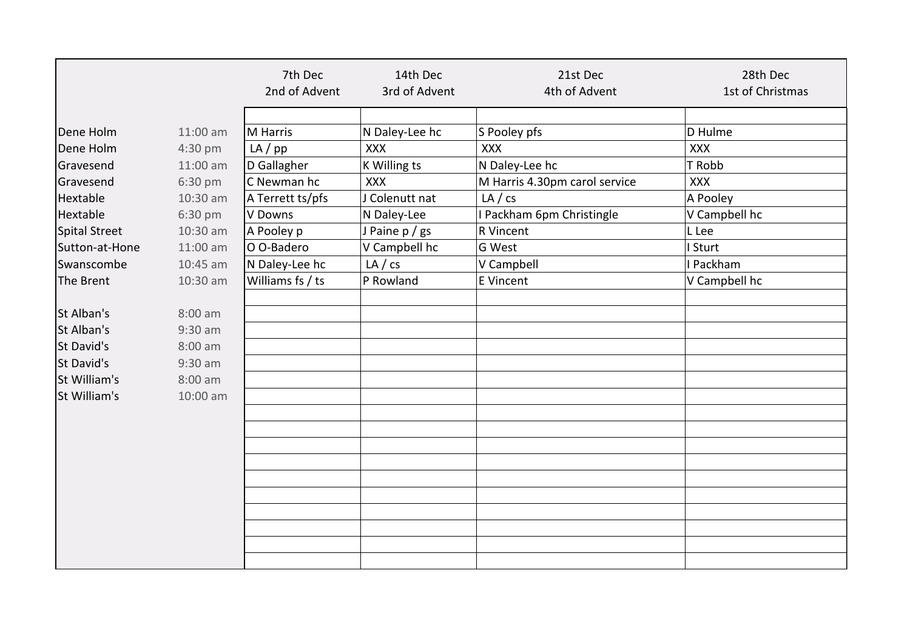|                |                   | 7th Dec          | 14th Dec       | 21st Dec                      | 28th Dec         |
|----------------|-------------------|------------------|----------------|-------------------------------|------------------|
|                |                   | 2nd of Advent    | 3rd of Advent  | 4th of Advent                 | 1st of Christmas |
|                |                   |                  |                |                               |                  |
| Dene Holm      | $11:00$ am        | M Harris         | N Daley-Lee hc | S Pooley pfs                  | D Hulme          |
| Dene Holm      | 4:30 pm           | $LA$ /pp         | <b>XXX</b>     | <b>XXX</b>                    | <b>XXX</b>       |
| Gravesend      | $11:00$ am        | D Gallagher      | K Willing ts   | N Daley-Lee hc                | T Robb           |
| Gravesend      | 6:30 pm           | C Newman hc      | <b>XXX</b>     | M Harris 4.30pm carol service | XXX              |
| Hextable       | 10:30 am          | A Terrett ts/pfs | J Colenutt nat | LA / cs                       | A Pooley         |
| Hextable       | 6:30 pm           | V Downs          | N Daley-Lee    | I Packham 6pm Christingle     | V Campbell hc    |
| Spital Street  | $10:30$ am        | A Pooley p       | J Paine p / gs | R Vincent                     | L Lee            |
| Sutton-at-Hone | 11:00 am          | O O-Badero       | V Campbell hc  | G West                        | I Sturt          |
| Swanscombe     | $10:45$ am        | N Daley-Lee hc   | LA / cs        | V Campbell                    | I Packham        |
| The Brent      | 10:30 am          | Williams fs / ts | P Rowland      | E Vincent                     | V Campbell hc    |
|                |                   |                  |                |                               |                  |
| St Alban's     | $8:00$ am         |                  |                |                               |                  |
| St Alban's     | $9:30$ am         |                  |                |                               |                  |
| St David's     | $8:00$ am         |                  |                |                               |                  |
| St David's     | $9:30$ am         |                  |                |                               |                  |
| St William's   | $8:00 \text{ am}$ |                  |                |                               |                  |
| St William's   | 10:00 am          |                  |                |                               |                  |
|                |                   |                  |                |                               |                  |
|                |                   |                  |                |                               |                  |
|                |                   |                  |                |                               |                  |
|                |                   |                  |                |                               |                  |
|                |                   |                  |                |                               |                  |
|                |                   |                  |                |                               |                  |
|                |                   |                  |                |                               |                  |
|                |                   |                  |                |                               |                  |
|                |                   |                  |                |                               |                  |
|                |                   |                  |                |                               |                  |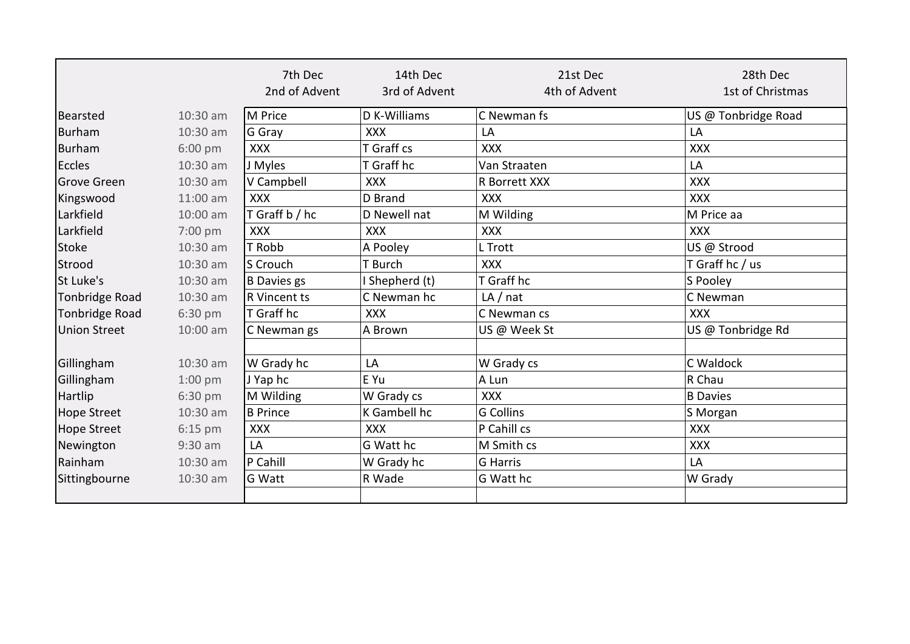|                |            | 7th Dec<br>2nd of Advent | 14th Dec<br>3rd of Advent | 21st Dec<br>4th of Advent | 28th Dec<br>1st of Christmas |
|----------------|------------|--------------------------|---------------------------|---------------------------|------------------------------|
| Bearsted       | $10:30$ am | M Price                  | D K-Williams              | C Newman fs               | US @ Tonbridge Road          |
| Burham         | 10:30 am   | G Gray                   | <b>XXX</b>                | LA                        | LA                           |
| Burham         | $6:00$ pm  | <b>XXX</b>               | T Graff cs                | <b>XXX</b>                | <b>XXX</b>                   |
| Eccles         | 10:30 am   | J Myles                  | T Graff hc                | Van Straaten              | LA                           |
| Grove Green    | 10:30 am   | V Campbell               | <b>XXX</b>                | R Borrett XXX             | <b>XXX</b>                   |
| Kingswood      | 11:00 am   | <b>XXX</b>               | D Brand                   | <b>XXX</b>                | <b>XXX</b>                   |
| Larkfield      | 10:00 am   | T Graff b / hc           | D Newell nat              | M Wilding                 | M Price aa                   |
| Larkfield      | 7:00 pm    | <b>XXX</b>               | <b>XXX</b>                | <b>XXX</b>                | <b>XXX</b>                   |
| Stoke          | 10:30 am   | T Robb                   | A Pooley                  | L Trott                   | US @ Strood                  |
| Strood         | 10:30 am   | S Crouch                 | T Burch                   | <b>XXX</b>                | T Graff hc / us              |
| St Luke's      | 10:30 am   | B Davies gs              | Shepherd (t)              | T Graff hc                | S Pooley                     |
| Tonbridge Road | 10:30 am   | <b>R</b> Vincent ts      | C Newman hc               | LA/nat                    | C Newman                     |
| Tonbridge Road | 6:30 pm    | T Graff hc               | <b>XXX</b>                | C Newman cs               | <b>XXX</b>                   |
| Union Street   | 10:00 am   | C Newman gs              | A Brown                   | US @ Week St              | US @ Tonbridge Rd            |
| Gillingham     | $10:30$ am | W Grady hc               | LA                        | W Grady cs                | C Waldock                    |
| Gillingham     | $1:00$ pm  | J Yap hc                 | E Yu                      | A Lun                     | R Chau                       |
| Hartlip        | 6:30 pm    | M Wilding                | W Grady cs                | <b>XXX</b>                | <b>B</b> Davies              |
| Hope Street    | 10:30 am   | <b>B</b> Prince          | K Gambell hc              | <b>G Collins</b>          | S Morgan                     |
| Hope Street    | $6:15$ pm  | <b>XXX</b>               | <b>XXX</b>                | P Cahill cs               | <b>XXX</b>                   |
| Newington      | $9:30$ am  | LA                       | G Watt hc                 | M Smith cs                | <b>XXX</b>                   |
| Rainham        | 10:30 am   | P Cahill                 | W Grady hc                | <b>G</b> Harris           | LA                           |
| Sittingbourne  | 10:30 am   | <b>G</b> Watt            | R Wade                    | G Watt hc                 | W Grady                      |
|                |            |                          |                           |                           |                              |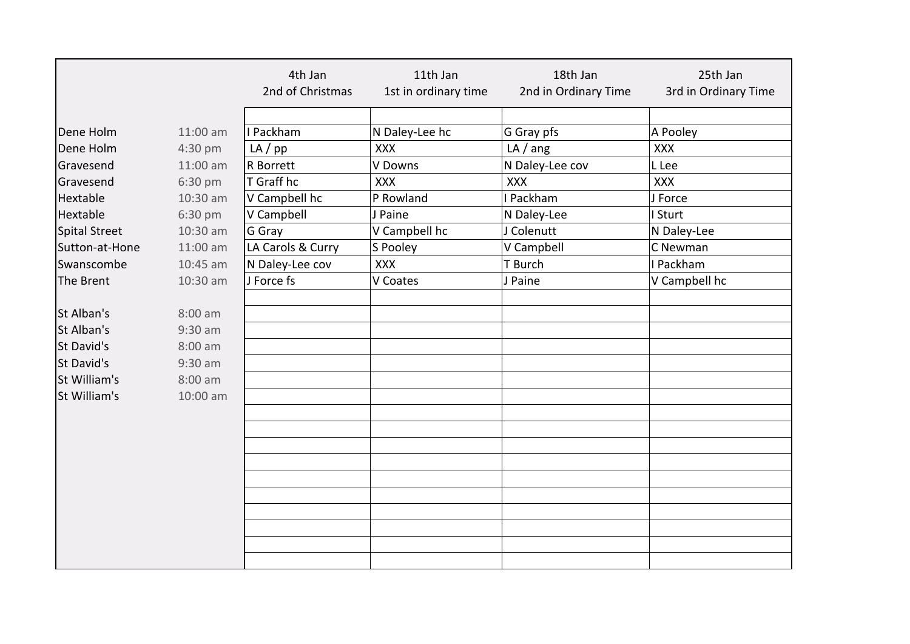|                      |                   | 4th Jan           | 11th Jan             | 18th Jan             | 25th Jan             |
|----------------------|-------------------|-------------------|----------------------|----------------------|----------------------|
|                      |                   | 2nd of Christmas  | 1st in ordinary time | 2nd in Ordinary Time | 3rd in Ordinary Time |
|                      |                   |                   |                      |                      |                      |
| Dene Holm            | 11:00 am          | I Packham         | N Daley-Lee hc       | G Gray pfs           | A Pooley             |
| Dene Holm            | 4:30 pm           | $LA$ /pp          | <b>XXX</b>           | LA/ang               | <b>XXX</b>           |
| Gravesend            | 11:00 am          | R Borrett         | V Downs              | N Daley-Lee cov      | L Lee                |
| Gravesend            | 6:30 pm           | T Graff hc        | <b>XXX</b>           | <b>XXX</b>           | XXX                  |
| Hextable             | 10:30 am          | V Campbell hc     | P Rowland            | I Packham            | J Force              |
| Hextable             | 6:30 pm           | V Campbell        | J Paine              | N Daley-Lee          | I Sturt              |
| <b>Spital Street</b> | 10:30 am          | G Gray            | V Campbell hc        | J Colenutt           | N Daley-Lee          |
| Sutton-at-Hone       | 11:00 am          | LA Carols & Curry | S Pooley             | V Campbell           | C Newman             |
| Swanscombe           | 10:45 am          | N Daley-Lee cov   | <b>XXX</b>           | T Burch              | I Packham            |
| The Brent            | 10:30 am          | J Force fs        | V Coates             | J Paine              | V Campbell hc        |
|                      |                   |                   |                      |                      |                      |
| St Alban's           | $8:00$ am         |                   |                      |                      |                      |
| St Alban's           | $9:30$ am         |                   |                      |                      |                      |
| St David's           | $8:00$ am         |                   |                      |                      |                      |
| St David's           | $9:30$ am         |                   |                      |                      |                      |
| <b>St William's</b>  | $8:00 \text{ am}$ |                   |                      |                      |                      |
| St William's         | 10:00 am          |                   |                      |                      |                      |
|                      |                   |                   |                      |                      |                      |
|                      |                   |                   |                      |                      |                      |
|                      |                   |                   |                      |                      |                      |
|                      |                   |                   |                      |                      |                      |
|                      |                   |                   |                      |                      |                      |
|                      |                   |                   |                      |                      |                      |
|                      |                   |                   |                      |                      |                      |
|                      |                   |                   |                      |                      |                      |
|                      |                   |                   |                      |                      |                      |
|                      |                   |                   |                      |                      |                      |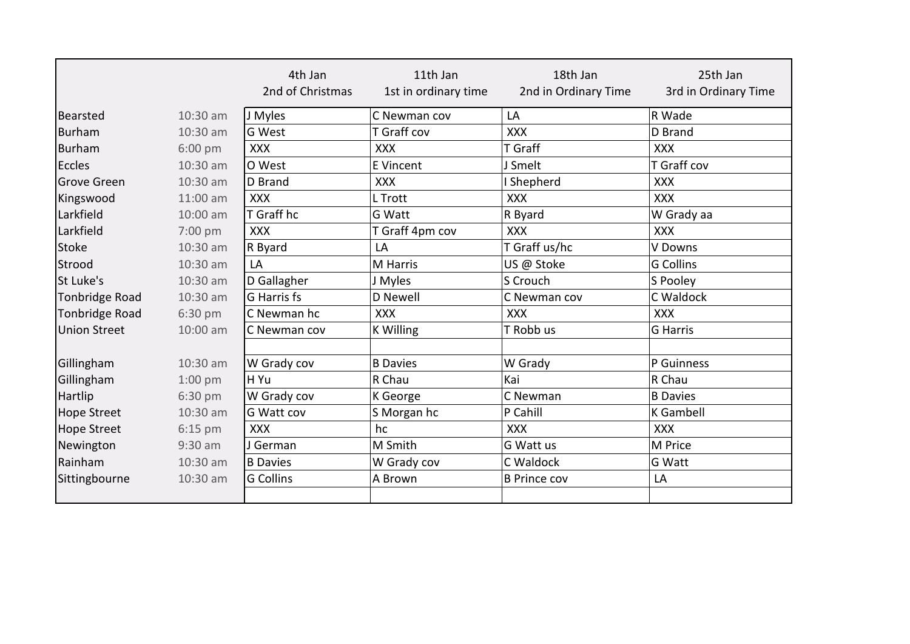|                       |           | 4th Jan<br>2nd of Christmas | 11th Jan<br>1st in ordinary time | 18th Jan<br>2nd in Ordinary Time | 25th Jan<br>3rd in Ordinary Time |
|-----------------------|-----------|-----------------------------|----------------------------------|----------------------------------|----------------------------------|
| Bearsted              | 10:30 am  | J Myles                     | C Newman cov                     | LA                               | R Wade                           |
| Burham                | 10:30 am  | <b>G</b> West               | T Graff cov                      | <b>XXX</b>                       | D Brand                          |
| Burham                | $6:00$ pm | <b>XXX</b>                  | <b>XXX</b>                       | T Graff                          | <b>XXX</b>                       |
| Eccles                | 10:30 am  | O West                      | <b>E</b> Vincent                 | J Smelt                          | T Graff cov                      |
| <b>Grove Green</b>    | 10:30 am  | D Brand                     | <b>XXX</b>                       | <b>Shepherd</b>                  | <b>XXX</b>                       |
| Kingswood             | 11:00 am  | <b>XXX</b>                  | L Trott                          | <b>XXX</b>                       | <b>XXX</b>                       |
| Larkfield             | 10:00 am  | T Graff hc                  | G Watt                           | R Byard                          | W Grady aa                       |
| Larkfield             | 7:00 pm   | <b>XXX</b>                  | T Graff 4pm cov                  | <b>XXX</b>                       | <b>XXX</b>                       |
| <b>Stoke</b>          | 10:30 am  | R Byard                     | LA                               | T Graff us/hc                    | V Downs                          |
| Strood                | 10:30 am  | LA                          | M Harris                         | US @ Stoke                       | <b>G</b> Collins                 |
| St Luke's             | 10:30 am  | D Gallagher                 | J Myles                          | S Crouch                         | S Pooley                         |
| Tonbridge Road        | 10:30 am  | G Harris fs                 | D Newell                         | C Newman cov                     | C Waldock                        |
| <b>Tonbridge Road</b> | 6:30 pm   | C Newman hc                 | <b>XXX</b>                       | <b>XXX</b>                       | <b>XXX</b>                       |
| <b>Union Street</b>   | 10:00 am  | C Newman cov                | <b>K Willing</b>                 | T Robb us                        | G Harris                         |
|                       |           |                             |                                  |                                  |                                  |
| Gillingham            | 10:30 am  | W Grady cov                 | <b>B</b> Davies                  | W Grady                          | P Guinness                       |
| Gillingham            | $1:00$ pm | H Yu                        | R Chau                           | Kai                              | R Chau                           |
| Hartlip               | 6:30 pm   | W Grady cov                 | K George                         | C Newman                         | <b>B</b> Davies                  |
| <b>Hope Street</b>    | 10:30 am  | <b>G</b> Watt cov           | S Morgan hc                      | P Cahill                         | K Gambell                        |
| <b>Hope Street</b>    | $6:15$ pm | <b>XXX</b>                  | hc                               | <b>XXX</b>                       | <b>XXX</b>                       |
| Newington             | $9:30$ am | J German                    | M Smith                          | G Watt us                        | M Price                          |
| Rainham               | 10:30 am  | <b>B</b> Davies             | W Grady cov                      | C Waldock                        | G Watt                           |
| Sittingbourne         | 10:30 am  | <b>G</b> Collins            | A Brown                          | <b>B Prince cov</b>              | LA                               |
|                       |           |                             |                                  |                                  |                                  |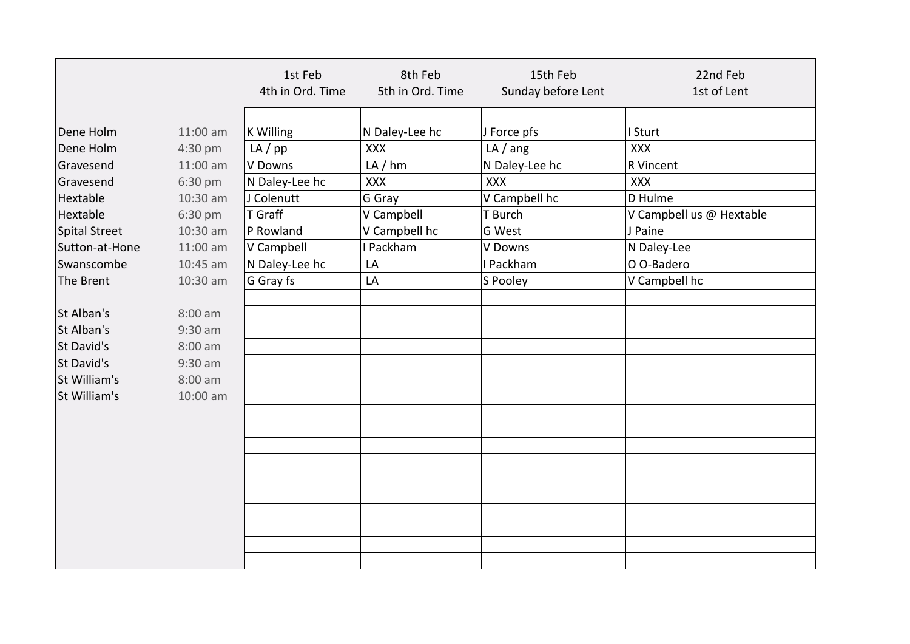|                      |           | 1st Feb<br>4th in Ord. Time | 8th Feb<br>5th in Ord. Time | 15th Feb<br>Sunday before Lent | 22nd Feb<br>1st of Lent  |
|----------------------|-----------|-----------------------------|-----------------------------|--------------------------------|--------------------------|
|                      |           |                             |                             |                                |                          |
| Dene Holm            | 11:00 am  | <b>K Willing</b>            | N Daley-Lee hc              | J Force pfs                    | I Sturt                  |
| Dene Holm            | 4:30 pm   | $LA$ / $pp$                 | <b>XXX</b>                  | LA/ang                         | <b>XXX</b>               |
| Gravesend            | 11:00 am  | V Downs                     | LA / hm                     | N Daley-Lee hc                 | R Vincent                |
| Gravesend            | 6:30 pm   | N Daley-Lee hc              | XXX                         | <b>XXX</b>                     | <b>XXX</b>               |
| Hextable             | 10:30 am  | J Colenutt                  | G Gray                      | V Campbell hc                  | D Hulme                  |
| Hextable             | 6:30 pm   | <b>T</b> Graff              | V Campbell                  | T Burch                        | V Campbell us @ Hextable |
| <b>Spital Street</b> | 10:30 am  | P Rowland                   | V Campbell hc               | G West                         | J Paine                  |
| Sutton-at-Hone       | 11:00 am  | V Campbell                  | I Packham                   | V Downs                        | N Daley-Lee              |
| Swanscombe           | 10:45 am  | N Daley-Lee hc              | LA                          | I Packham                      | O O-Badero               |
| The Brent            | 10:30 am  | G Gray fs                   | LA                          | S Pooley                       | V Campbell hc            |
|                      |           |                             |                             |                                |                          |
| St Alban's           | $8:00$ am |                             |                             |                                |                          |
| St Alban's           | $9:30$ am |                             |                             |                                |                          |
| St David's           | $8:00$ am |                             |                             |                                |                          |
| St David's           | $9:30$ am |                             |                             |                                |                          |
| St William's         | $8:00$ am |                             |                             |                                |                          |
| St William's         | 10:00 am  |                             |                             |                                |                          |
|                      |           |                             |                             |                                |                          |
|                      |           |                             |                             |                                |                          |
|                      |           |                             |                             |                                |                          |
|                      |           |                             |                             |                                |                          |
|                      |           |                             |                             |                                |                          |
|                      |           |                             |                             |                                |                          |
|                      |           |                             |                             |                                |                          |
|                      |           |                             |                             |                                |                          |
|                      |           |                             |                             |                                |                          |
|                      |           |                             |                             |                                |                          |